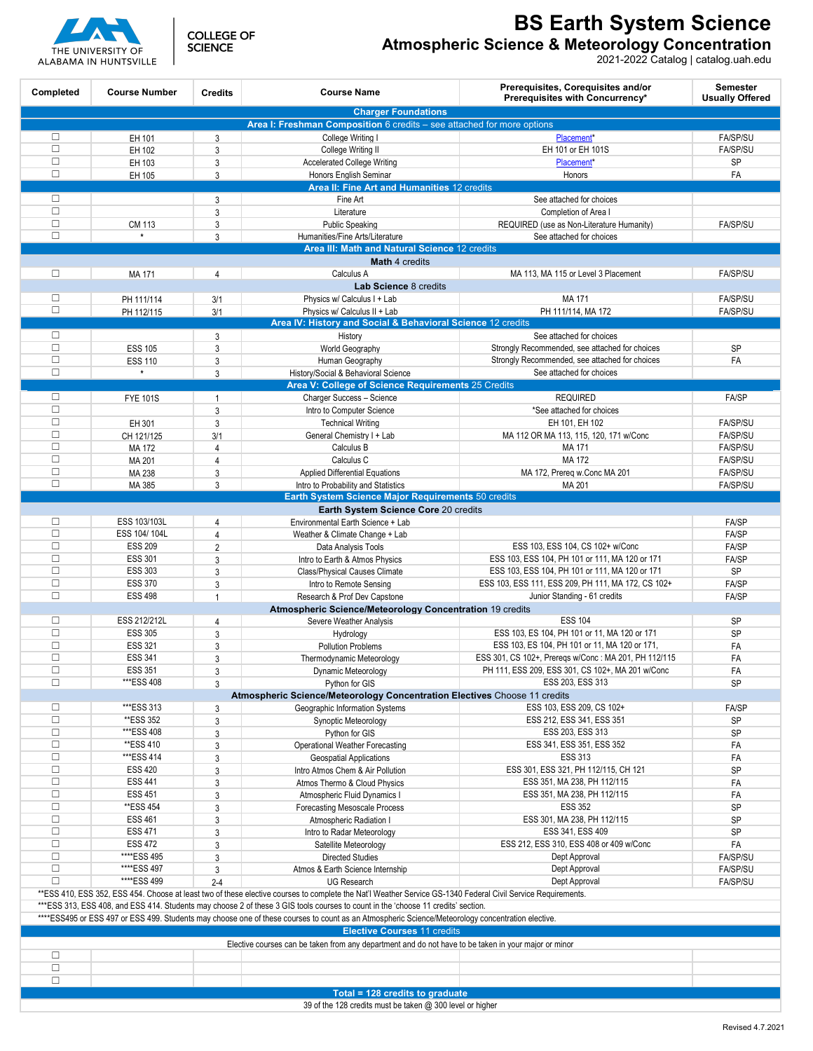

**COLLEGE OF SCIENCE** 

**BS Earth System Science**

**Atmospheric Science & Meteorology Concentration**

2021-2022 Catalog | catalog.uah.edu

| Completed                                                                                                                                                                                                                                                                                         | <b>Course Number</b>                        | <b>Credits</b> | <b>Course Name</b>                                                                        | Prerequisites, Corequisites and/or<br>Prerequisites with Concurrency* | <b>Semester</b><br><b>Usually Offered</b> |  |  |
|---------------------------------------------------------------------------------------------------------------------------------------------------------------------------------------------------------------------------------------------------------------------------------------------------|---------------------------------------------|----------------|-------------------------------------------------------------------------------------------|-----------------------------------------------------------------------|-------------------------------------------|--|--|
| <b>Charger Foundations</b><br>Area I: Freshman Composition 6 credits - see attached for more options                                                                                                                                                                                              |                                             |                |                                                                                           |                                                                       |                                           |  |  |
| $\Box$                                                                                                                                                                                                                                                                                            | EH 101                                      | 3              | College Writing I                                                                         | Placement*                                                            | <b>FA/SP/SU</b>                           |  |  |
| $\Box$                                                                                                                                                                                                                                                                                            | EH 102                                      | 3              | College Writing II                                                                        | EH 101 or EH 101S                                                     | <b>FA/SP/SU</b>                           |  |  |
| $\Box$                                                                                                                                                                                                                                                                                            | EH 103                                      | 3              | <b>Accelerated College Writing</b>                                                        | Placement*                                                            | SP                                        |  |  |
| $\Box$                                                                                                                                                                                                                                                                                            | EH 105                                      | 3              | Honors English Seminar                                                                    | Honors                                                                | FA                                        |  |  |
|                                                                                                                                                                                                                                                                                                   | Area II: Fine Art and Humanities 12 credits |                |                                                                                           |                                                                       |                                           |  |  |
| $\Box$                                                                                                                                                                                                                                                                                            |                                             | 3              | Fine Art                                                                                  | See attached for choices                                              |                                           |  |  |
| $\Box$                                                                                                                                                                                                                                                                                            |                                             | 3              | Literature                                                                                | Completion of Area I                                                  |                                           |  |  |
| $\Box$                                                                                                                                                                                                                                                                                            | CM 113                                      | 3              | <b>Public Speaking</b>                                                                    | REQUIRED (use as Non-Literature Humanity)                             | <b>FA/SP/SU</b>                           |  |  |
| $\Box$                                                                                                                                                                                                                                                                                            | $\star$                                     | 3              | Humanities/Fine Arts/Literature                                                           | See attached for choices                                              |                                           |  |  |
|                                                                                                                                                                                                                                                                                                   |                                             |                | Area III: Math and Natural Science 12 credits                                             |                                                                       |                                           |  |  |
| <b>Math 4 credits</b>                                                                                                                                                                                                                                                                             |                                             |                |                                                                                           |                                                                       |                                           |  |  |
| $\Box$                                                                                                                                                                                                                                                                                            | MA 171                                      | $\overline{4}$ | Calculus A                                                                                | MA 113, MA 115 or Level 3 Placement                                   | <b>FA/SP/SU</b>                           |  |  |
|                                                                                                                                                                                                                                                                                                   |                                             |                | Lab Science 8 credits                                                                     |                                                                       |                                           |  |  |
| $\Box$                                                                                                                                                                                                                                                                                            | PH 111/114                                  | 3/1            | Physics w/ Calculus I + Lab                                                               | MA 171                                                                | <b>FA/SP/SU</b>                           |  |  |
| $\Box$                                                                                                                                                                                                                                                                                            | PH 112/115                                  | 3/1            | Physics w/ Calculus II + Lab                                                              | PH 111/114, MA 172                                                    | <b>FA/SP/SU</b>                           |  |  |
|                                                                                                                                                                                                                                                                                                   |                                             |                | Area IV: History and Social & Behavioral Science 12 credits                               |                                                                       |                                           |  |  |
| $\Box$                                                                                                                                                                                                                                                                                            |                                             | 3              | History                                                                                   | See attached for choices                                              |                                           |  |  |
| $\Box$                                                                                                                                                                                                                                                                                            | <b>ESS 105</b>                              | 3              | World Geography                                                                           | Strongly Recommended, see attached for choices                        | <b>SP</b>                                 |  |  |
| $\Box$                                                                                                                                                                                                                                                                                            | <b>ESS 110</b><br>$\star$                   | 3              | Human Geography                                                                           | Strongly Recommended, see attached for choices                        | FA                                        |  |  |
| $\Box$                                                                                                                                                                                                                                                                                            |                                             | 3              | History/Social & Behavioral Science<br>Area V: College of Science Requirements 25 Credits | See attached for choices                                              |                                           |  |  |
| $\Box$                                                                                                                                                                                                                                                                                            |                                             |                |                                                                                           |                                                                       | FA/SP                                     |  |  |
| $\Box$                                                                                                                                                                                                                                                                                            | <b>FYE 101S</b>                             | 1              | Charger Success - Science                                                                 | <b>REQUIRED</b>                                                       |                                           |  |  |
| $\Box$                                                                                                                                                                                                                                                                                            | EH 301                                      | 3<br>3         | Intro to Computer Science<br><b>Technical Writing</b>                                     | *See attached for choices<br>EH 101, EH 102                           | <b>FA/SP/SU</b>                           |  |  |
| $\Box$                                                                                                                                                                                                                                                                                            | CH 121/125                                  | 3/1            |                                                                                           | MA 112 OR MA 113, 115, 120, 171 w/Conc                                | FA/SP/SU                                  |  |  |
| $\Box$                                                                                                                                                                                                                                                                                            | MA 172                                      | 4              | General Chemistry I + Lab<br>Calculus B                                                   | MA 171                                                                | <b>FA/SP/SU</b>                           |  |  |
| $\Box$                                                                                                                                                                                                                                                                                            | MA 201                                      | 4              | Calculus C                                                                                | MA 172                                                                | FA/SP/SU                                  |  |  |
| $\Box$                                                                                                                                                                                                                                                                                            | MA 238                                      | 3              | <b>Applied Differential Equations</b>                                                     | MA 172, Prereg w.Conc MA 201                                          | <b>FA/SP/SU</b>                           |  |  |
| $\Box$                                                                                                                                                                                                                                                                                            | MA 385                                      | 3              | Intro to Probability and Statistics                                                       | MA 201                                                                | <b>FA/SP/SU</b>                           |  |  |
|                                                                                                                                                                                                                                                                                                   |                                             |                | Earth System Science Major Requirements 50 credits                                        |                                                                       |                                           |  |  |
|                                                                                                                                                                                                                                                                                                   |                                             |                | <b>Earth System Science Core 20 credits</b>                                               |                                                                       |                                           |  |  |
| $\Box$                                                                                                                                                                                                                                                                                            | ESS 103/103L                                | $\overline{4}$ | Environmental Earth Science + Lab                                                         |                                                                       | FA/SP                                     |  |  |
| $\Box$                                                                                                                                                                                                                                                                                            | ESS 104/104L                                | 4              | Weather & Climate Change + Lab                                                            |                                                                       | FA/SP                                     |  |  |
| $\Box$                                                                                                                                                                                                                                                                                            | <b>ESS 209</b>                              | $\overline{2}$ | Data Analysis Tools                                                                       | ESS 103, ESS 104, CS 102+ w/Conc                                      | FA/SP                                     |  |  |
| $\Box$                                                                                                                                                                                                                                                                                            | <b>ESS 301</b>                              | 3              | Intro to Earth & Atmos Physics                                                            | ESS 103, ESS 104, PH 101 or 111, MA 120 or 171                        | FA/SP                                     |  |  |
| $\Box$                                                                                                                                                                                                                                                                                            | <b>ESS 303</b>                              | 3              | Class/Physical Causes Climate                                                             | ESS 103, ESS 104, PH 101 or 111, MA 120 or 171                        | <b>SP</b>                                 |  |  |
| $\Box$                                                                                                                                                                                                                                                                                            | <b>ESS 370</b>                              | 3              | Intro to Remote Sensing                                                                   | ESS 103, ESS 111, ESS 209, PH 111, MA 172, CS 102+                    | FA/SP                                     |  |  |
| $\Box$                                                                                                                                                                                                                                                                                            | <b>ESS 498</b>                              | $\mathbf{1}$   | Research & Prof Dev Capstone                                                              | Junior Standing - 61 credits                                          | FA/SP                                     |  |  |
| Atmospheric Science/Meteorology Concentration 19 credits                                                                                                                                                                                                                                          |                                             |                |                                                                                           |                                                                       |                                           |  |  |
| $\Box$                                                                                                                                                                                                                                                                                            | ESS 212/212L                                | 4              | Severe Weather Analysis                                                                   | <b>ESS 104</b>                                                        | <b>SP</b>                                 |  |  |
| $\Box$                                                                                                                                                                                                                                                                                            | <b>ESS 305</b>                              | 3              | Hydrology                                                                                 | ESS 103, ES 104, PH 101 or 11, MA 120 or 171                          | SP                                        |  |  |
| $\Box$                                                                                                                                                                                                                                                                                            | <b>ESS 321</b>                              | 3              | <b>Pollution Problems</b>                                                                 | ESS 103, ES 104, PH 101 or 11, MA 120 or 171,                         | FA                                        |  |  |
| $\Box$                                                                                                                                                                                                                                                                                            | <b>ESS 341</b>                              | 3              | Thermodynamic Meteorology                                                                 | ESS 301, CS 102+, Preregs w/Conc: MA 201, PH 112/115                  | FA                                        |  |  |
| $\Box$                                                                                                                                                                                                                                                                                            | <b>ESS 351</b>                              | 3              | Dynamic Meteorology                                                                       | PH 111, ESS 209, ESS 301, CS 102+, MA 201 w/Conc                      | FA                                        |  |  |
| $\Box$                                                                                                                                                                                                                                                                                            | ***ESS 408                                  | 3              | Python for GIS                                                                            | ESS 203, ESS 313                                                      | <b>SP</b>                                 |  |  |
|                                                                                                                                                                                                                                                                                                   |                                             |                | Atmospheric Science/Meteorology Concentration Electives Choose 11 credits                 |                                                                       |                                           |  |  |
| $\Box$                                                                                                                                                                                                                                                                                            | ***ESS 313                                  | 3              | Geographic Information Systems                                                            | ESS 103, ESS 209, CS 102+                                             | FA/SP                                     |  |  |
| $\Box$                                                                                                                                                                                                                                                                                            | **ESS 352                                   | 3              | Synoptic Meteorology                                                                      | ESS 212, ESS 341, ESS 351                                             | SP                                        |  |  |
| $\Box$                                                                                                                                                                                                                                                                                            | ***ESS 408                                  | 3              | Python for GIS                                                                            | ESS 203, ESS 313                                                      | <b>SP</b>                                 |  |  |
| $\Box$                                                                                                                                                                                                                                                                                            | **ESS 410                                   | 3              | Operational Weather Forecasting                                                           | ESS 341, ESS 351, ESS 352                                             | FA                                        |  |  |
| $\Box$                                                                                                                                                                                                                                                                                            | ***ESS 414                                  | 3              | <b>Geospatial Applications</b>                                                            | <b>ESS 313</b>                                                        | FA                                        |  |  |
| $\Box$                                                                                                                                                                                                                                                                                            | <b>ESS 420</b>                              | 3              | Intro Atmos Chem & Air Pollution                                                          | ESS 301, ESS 321, PH 112/115, CH 121                                  | SP                                        |  |  |
| $\Box$                                                                                                                                                                                                                                                                                            | ESS 441                                     | 3              | Atmos Thermo & Cloud Physics                                                              | ESS 351, MA 238, PH 112/115                                           | FA                                        |  |  |
| $\Box$                                                                                                                                                                                                                                                                                            | ESS 451                                     | 3              | Atmospheric Fluid Dynamics I                                                              | ESS 351, MA 238, PH 112/115                                           | FA                                        |  |  |
| $\Box$<br>$\Box$                                                                                                                                                                                                                                                                                  | **ESS 454                                   | 3              | Forecasting Mesoscale Process                                                             | <b>ESS 352</b>                                                        | SP                                        |  |  |
| $\Box$                                                                                                                                                                                                                                                                                            | <b>ESS 461</b>                              | 3              | Atmospheric Radiation I                                                                   | ESS 301, MA 238, PH 112/115                                           | SP<br>SP                                  |  |  |
| $\Box$                                                                                                                                                                                                                                                                                            | ESS 471<br>ESS 472                          | 3              | Intro to Radar Meteorology                                                                | ESS 341, ESS 409<br>ESS 212, ESS 310, ESS 408 or 409 w/Conc           |                                           |  |  |
| $\Box$                                                                                                                                                                                                                                                                                            | ****ESS 495                                 | 3              | Satellite Meteorology<br><b>Directed Studies</b>                                          | Dept Approval                                                         | FA<br>FA/SP/SU                            |  |  |
| $\Box$                                                                                                                                                                                                                                                                                            | ****ESS 497                                 | 3<br>3         | Atmos & Earth Science Internship                                                          | Dept Approval                                                         | <b>FA/SP/SU</b>                           |  |  |
| $\Box$                                                                                                                                                                                                                                                                                            | ****ESS 499                                 | $2 - 4$        | <b>UG Research</b>                                                                        | Dept Approval                                                         | <b>FA/SP/SU</b>                           |  |  |
|                                                                                                                                                                                                                                                                                                   |                                             |                |                                                                                           |                                                                       |                                           |  |  |
| **ESS 410, ESS 352, ESS 454. Choose at least two of these elective courses to complete the Nat'l Weather Service GS-1340 Federal Civil Service Requirements.<br>***ESS 313, ESS 408, and ESS 414. Students may choose 2 of these 3 GIS tools courses to count in the 'choose 11 credits' section. |                                             |                |                                                                                           |                                                                       |                                           |  |  |
| ****ESS495 or ESS 497 or ESS 499. Students may choose one of these courses to count as an Atmospheric Science/Meteorology concentration elective.                                                                                                                                                 |                                             |                |                                                                                           |                                                                       |                                           |  |  |
| <b>Elective Courses 11 credits</b>                                                                                                                                                                                                                                                                |                                             |                |                                                                                           |                                                                       |                                           |  |  |
| Elective courses can be taken from any department and do not have to be taken in your major or minor                                                                                                                                                                                              |                                             |                |                                                                                           |                                                                       |                                           |  |  |
| $\Box$                                                                                                                                                                                                                                                                                            |                                             |                |                                                                                           |                                                                       |                                           |  |  |
| $\Box$                                                                                                                                                                                                                                                                                            |                                             |                |                                                                                           |                                                                       |                                           |  |  |
| $\Box$                                                                                                                                                                                                                                                                                            |                                             |                |                                                                                           |                                                                       |                                           |  |  |
|                                                                                                                                                                                                                                                                                                   |                                             |                | Total = 128 credits to graduate                                                           |                                                                       |                                           |  |  |
|                                                                                                                                                                                                                                                                                                   |                                             |                | 39 of the 128 credits must be taken @ 300 level or higher                                 |                                                                       |                                           |  |  |